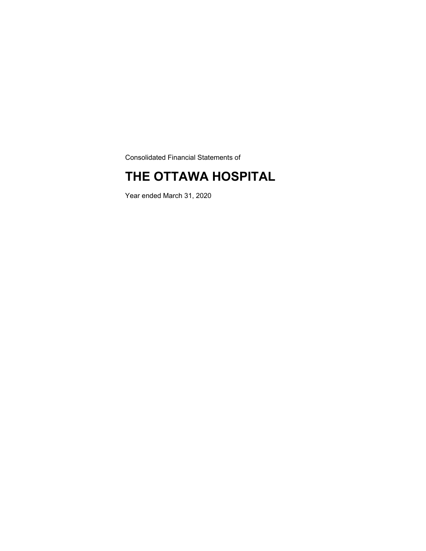Consolidated Financial Statements of

### **THE OTTAWA HOSPITAL**

Year ended March 31, 2020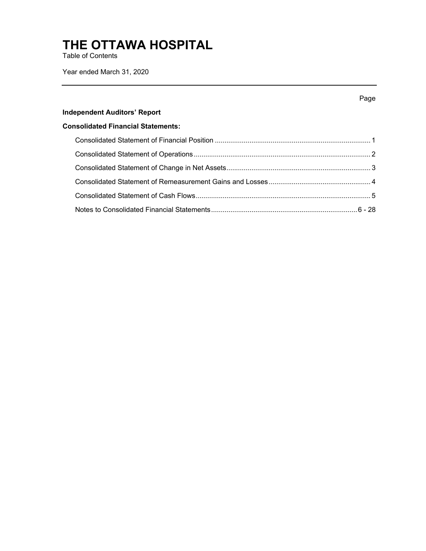Table of Contents

Year ended March 31, 2020

|                                           | Page |
|-------------------------------------------|------|
| <b>Independent Auditors' Report</b>       |      |
| <b>Consolidated Financial Statements:</b> |      |
|                                           |      |
|                                           |      |
|                                           |      |
|                                           |      |
|                                           |      |
|                                           |      |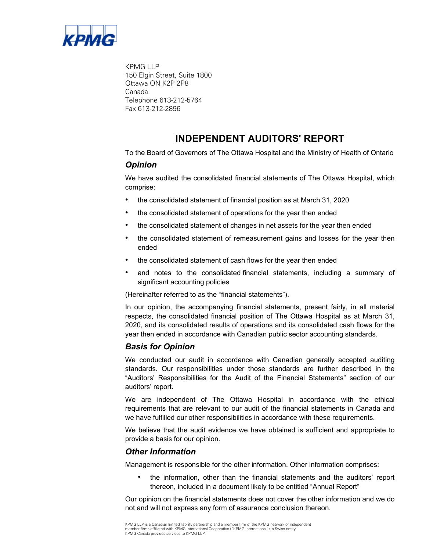

KPMG LLP 150 Elgin Street, Suite 1800 Ottawa ON K2P 2P8 Canada Telephone 613-212-5764 Fax 613-212-2896

### **INDEPENDENT AUDITORS' REPORT**

To the Board of Governors of The Ottawa Hospital and the Ministry of Health of Ontario

### *Opinion*

We have audited the consolidated financial statements of The Ottawa Hospital, which comprise:

- the consolidated statement of financial position as at March 31, 2020
- the consolidated statement of operations for the year then ended
- the consolidated statement of changes in net assets for the year then ended
- the consolidated statement of remeasurement gains and losses for the year then ended
- the consolidated statement of cash flows for the year then ended
- and notes to the consolidated financial statements, including a summary of significant accounting policies

(Hereinafter referred to as the "financial statements").

In our opinion, the accompanying financial statements, present fairly, in all material respects, the consolidated financial position of The Ottawa Hospital as at March 31, 2020, and its consolidated results of operations and its consolidated cash flows for the year then ended in accordance with Canadian public sector accounting standards.

### *Basis for Opinion*

 We conducted our audit in accordance with Canadian generally accepted auditing standards. Our responsibilities under those standards are further described in the "Auditors' Responsibilities for the Audit of the Financial Statements" section of our auditors' report.

We are independent of The Ottawa Hospital in accordance with the ethical requirements that are relevant to our audit of the financial statements in Canada and we have fulfilled our other responsibilities in accordance with these requirements.

We believe that the audit evidence we have obtained is sufficient and appropriate to provide a basis for our opinion.

### *Other Information*

Management is responsible for the other information. Other information comprises:

• the information, other than the financial statements and the auditors' report thereon, included in a document likely to be entitled "Annual Report"

 not and will not express any form of assurance conclusion thereon. Our opinion on the financial statements does not cover the other information and we do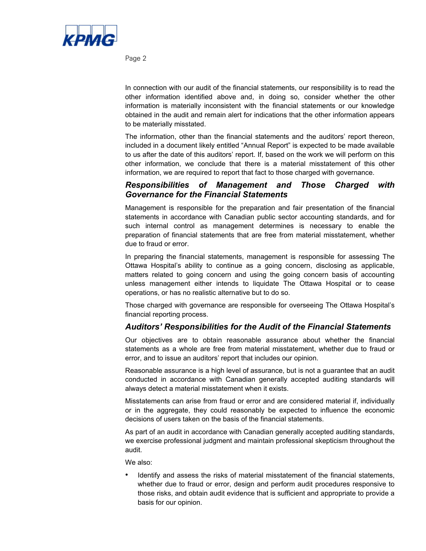

Page 2

In connection with our audit of the financial statements, our responsibility is to read the other information identified above and, in doing so, consider whether the other information is materially inconsistent with the financial statements or our knowledge obtained in the audit and remain alert for indications that the other information appears to be materially misstated.

The information, other than the financial statements and the auditors' report thereon, included in a document likely entitled "Annual Report" is expected to be made available to us after the date of this auditors' report. If, based on the work we will perform on this other information, we conclude that there is a material misstatement of this other information, we are required to report that fact to those charged with governance.

### *Responsibilities of Management and Those Charged with Governance for the Financial Statements*

Management is responsible for the preparation and fair presentation of the financial statements in accordance with Canadian public sector accounting standards, and for such internal control as management determines is necessary to enable the preparation of financial statements that are free from material misstatement, whether due to fraud or error.

In preparing the financial statements, management is responsible for assessing The Ottawa Hospital's ability to continue as a going concern, disclosing as applicable, matters related to going concern and using the going concern basis of accounting unless management either intends to liquidate The Ottawa Hospital or to cease operations, or has no realistic alternative but to do so.

Those charged with governance are responsible for overseeing The Ottawa Hospital's financial reporting process.

### *Auditors' Responsibilities for the Audit of the Financial Statements*

 Our objectives are to obtain reasonable assurance about whether the financial statements as a whole are free from material misstatement, whether due to fraud or error, and to issue an auditors' report that includes our opinion.

Reasonable assurance is a high level of assurance, but is not a guarantee that an audit conducted in accordance with Canadian generally accepted auditing standards will always detect a material misstatement when it exists.

Misstatements can arise from fraud or error and are considered material if, individually or in the aggregate, they could reasonably be expected to influence the economic decisions of users taken on the basis of the financial statements.

As part of an audit in accordance with Canadian generally accepted auditing standards, we exercise professional judgment and maintain professional skepticism throughout the audit.

We also:

 those risks, and obtain audit evidence that is sufficient and appropriate to provide a • Identify and assess the risks of material misstatement of the financial statements, whether due to fraud or error, design and perform audit procedures responsive to basis for our opinion.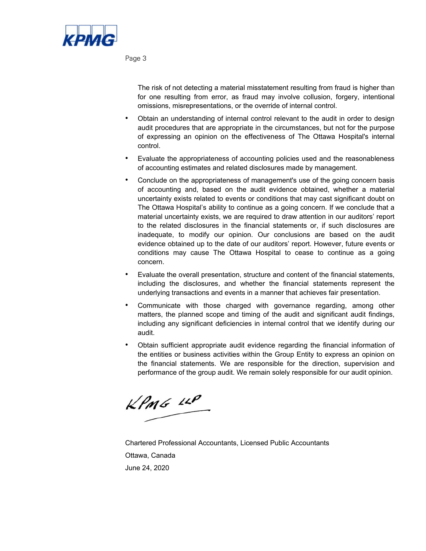

Page 3

The risk of not detecting a material misstatement resulting from fraud is higher than for one resulting from error, as fraud may involve collusion, forgery, intentional omissions, misrepresentations, or the override of internal control.

- Obtain an understanding of internal control relevant to the audit in order to design audit procedures that are appropriate in the circumstances, but not for the purpose of expressing an opinion on the effectiveness of The Ottawa Hospital's internal control.
- Evaluate the appropriateness of accounting policies used and the reasonableness of accounting estimates and related disclosures made by management.
- The Ottawa Hospital's ability to continue as a going concern. If we conclude that a inadequate, to modify our opinion. Our conclusions are based on the audit • Conclude on the appropriateness of management's use of the going concern basis of accounting and, based on the audit evidence obtained, whether a material uncertainty exists related to events or conditions that may cast significant doubt on material uncertainty exists, we are required to draw attention in our auditors' report to the related disclosures in the financial statements or, if such disclosures are evidence obtained up to the date of our auditors' report. However, future events or conditions may cause The Ottawa Hospital to cease to continue as a going concern.
- Evaluate the overall presentation, structure and content of the financial statements, including the disclosures, and whether the financial statements represent the underlying transactions and events in a manner that achieves fair presentation.
- Communicate with those charged with governance regarding, among other matters, the planned scope and timing of the audit and significant audit findings, including any significant deficiencies in internal control that we identify during our audit.
- Obtain sufficient appropriate audit evidence regarding the financial information of the entities or business activities within the Group Entity to express an opinion on the financial statements. We are responsible for the direction, supervision and performance of the group audit. We remain solely responsible for our audit opinion.

 $KPMG$  14P

Chartered Professional Accountants, Licensed Public Accountants Ottawa, Canada June 24, 2020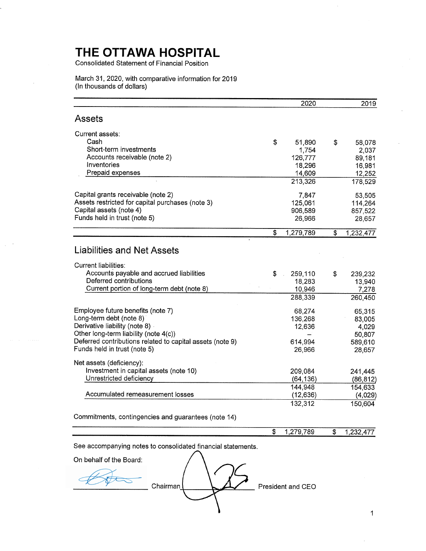**Consolidated Statement of Financial Position** 

March 31, 2020, with comparative information for 2019 (In thousands of dollars)

|                                                           | 2020            |                          | 2019      |
|-----------------------------------------------------------|-----------------|--------------------------|-----------|
| Assets                                                    |                 |                          |           |
| Current assets:                                           |                 |                          |           |
| Cash                                                      | \$<br>51,890    | \$                       | 58,078    |
| Short-term investments                                    | 1,754           |                          | 2,037     |
| Accounts receivable (note 2)                              | 126,777         |                          | 89,181    |
| Inventories                                               | 18,296          |                          | 16,981    |
| Prepaid expenses                                          | 14,609          |                          | 12,252    |
|                                                           | 213,326         |                          | 178,529   |
| Capital grants receivable (note 2)                        | 7,847           |                          | 53,505    |
| Assets restricted for capital purchases (note 3)          | 125,061         |                          | 114,264   |
| Capital assets (note 4)                                   | 906,589         |                          | 857,522   |
| Funds held in trust (note 5)                              | 26,966          |                          | 28,657    |
|                                                           | \$<br>1,279,789 | $\overline{\mathcal{L}}$ | 1,232,477 |
| $\lambda$                                                 |                 |                          |           |
| <b>Liabilities and Net Assets</b>                         |                 |                          |           |
| <b>Current liabilities:</b>                               |                 |                          |           |
| Accounts payable and accrued liabilities                  | \$<br>259,110   | S                        | 239,232   |
| Deferred contributions                                    | 18,283          |                          | 13,940    |
| Current portion of long-term debt (note 8)                | 10,946          |                          | 7,278     |
|                                                           | 288,339         |                          | 260,450   |
| Employee future benefits (note 7)                         | 68,274          |                          | 65,315    |
| Long-term debt (note 8)                                   | 136,268         |                          | 83,005    |
| Derivative liability (note 8)                             | 12,636          |                          | 4,029     |
| Other long-term liability (note 4(c))                     |                 |                          | 50,807    |
| Deferred contributions related to capital assets (note 9) | 614,994         |                          | 589,610   |
| Funds held in trust (note 5)                              | 26,966          |                          | 28,657    |
| Net assets (deficiency):                                  |                 |                          |           |
| Investment in capital assets (note 10)                    | 209,084         |                          | 241,445   |
| Unrestricted deficiency                                   | (64, 136)       |                          | (86, 812) |
|                                                           | 144,948         |                          | 154,633   |
| Accumulated remeasurement losses                          | (12, 636)       |                          | (4,029)   |
|                                                           | 132,312         |                          | 150,604   |
| Commitments, contingencies and guarantees (note 14)       |                 |                          |           |
|                                                           |                 |                          |           |

| m<br>٠D | . . | ___<br>---<br>.<br>. | $\mathbf{r}$<br>æ<br>vo | 00 C<br>ے ت<br>. |
|---------|-----|----------------------|-------------------------|------------------|
|         |     |                      |                         |                  |

See accompanying notes to consolidated financial statements.

On behalf of the Board: Chairman President and CEO

 $\mathbf{1}$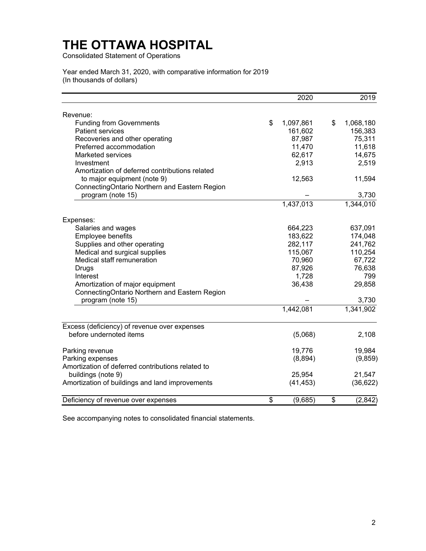Consolidated Statement of Operations

Year ended March 31, 2020, with comparative information for 2019 (In thousands of dollars)

|                                                   | 2020            | 2019            |
|---------------------------------------------------|-----------------|-----------------|
| Revenue:                                          |                 |                 |
| <b>Funding from Governments</b>                   | \$<br>1,097,861 | \$<br>1,068,180 |
| <b>Patient services</b>                           | 161,602         | 156,383         |
| Recoveries and other operating                    | 87,987          | 75,311          |
| Preferred accommodation                           | 11,470          | 11,618          |
| Marketed services                                 | 62,617          | 14,675          |
| Investment                                        | 2,913           | 2,519           |
| Amortization of deferred contributions related    |                 |                 |
| to major equipment (note 9)                       | 12,563          | 11,594          |
| ConnectingOntario Northern and Eastern Region     |                 |                 |
| program (note 15)                                 |                 | 3,730           |
|                                                   | 1,437,013       | 1,344,010       |
|                                                   |                 |                 |
| Expenses:                                         |                 |                 |
| Salaries and wages                                | 664,223         | 637,091         |
| Employee benefits                                 | 183,622         | 174,048         |
| Supplies and other operating                      | 282,117         | 241,762         |
| Medical and surgical supplies                     | 115,067         | 110,254         |
| Medical staff remuneration                        | 70,960          | 67,722          |
| <b>Drugs</b>                                      | 87,926          | 76,638          |
| Interest                                          | 1,728           | 799             |
| Amortization of major equipment                   | 36,438          | 29,858          |
| ConnectingOntario Northern and Eastern Region     |                 |                 |
| program (note 15)                                 |                 | 3,730           |
|                                                   | 1,442,081       | 1,341,902       |
|                                                   |                 |                 |
| Excess (deficiency) of revenue over expenses      |                 |                 |
| before undernoted items                           | (5,068)         | 2,108           |
|                                                   |                 |                 |
| Parking revenue                                   | 19,776          | 19,984          |
| Parking expenses                                  | (8,894)         | (9, 859)        |
| Amortization of deferred contributions related to |                 |                 |
| buildings (note 9)                                | 25,954          | 21,547          |
| Amortization of buildings and land improvements   | (41, 453)       | (36, 622)       |
|                                                   | \$              | \$              |
| Deficiency of revenue over expenses               | (9,685)         | (2, 842)        |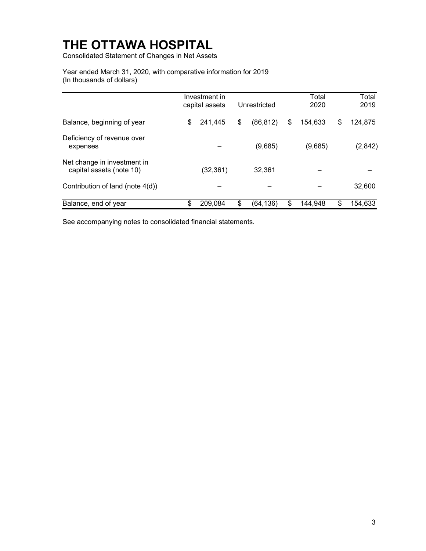Consolidated Statement of Changes in Net Assets

Year ended March 31, 2020, with comparative information for 2019 (In thousands of dollars)

|                                                         | Investment in<br>capital assets | Unrestricted    | Total<br>2020 |    | Total<br>2019 |
|---------------------------------------------------------|---------------------------------|-----------------|---------------|----|---------------|
| Balance, beginning of year                              | \$<br>241.445                   | \$<br>(86, 812) | \$<br>154.633 | S  | 124,875       |
| Deficiency of revenue over<br>expenses                  |                                 | (9,685)         | (9,685)       |    | (2,842)       |
| Net change in investment in<br>capital assets (note 10) | (32, 361)                       | 32,361          |               |    |               |
| Contribution of land (note 4(d))                        |                                 |                 |               |    | 32,600        |
| Balance, end of year                                    | \$<br>209.084                   | \$<br>(64, 136) | \$<br>144.948 | \$ | 154,633       |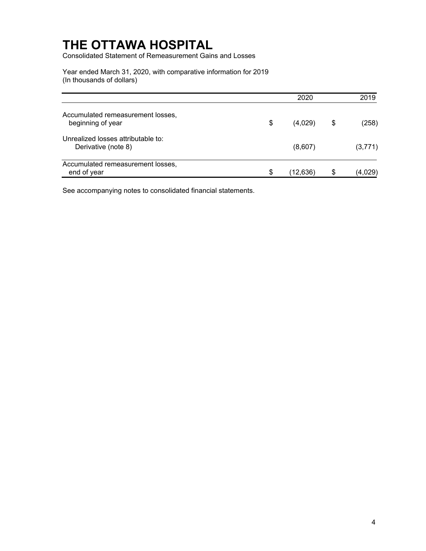Consolidated Statement of Remeasurement Gains and Losses

Year ended March 31, 2020, with comparative information for 2019 (In thousands of dollars)

|                                                           | 2020           | 2019          |
|-----------------------------------------------------------|----------------|---------------|
| Accumulated remeasurement losses,<br>beginning of year    | \$<br>(4,029)  | \$<br>(258)   |
| Unrealized losses attributable to:<br>Derivative (note 8) | (8,607)        | (3,771)       |
| Accumulated remeasurement losses,<br>end of year          | \$<br>(12,636) | \$<br>(4,029) |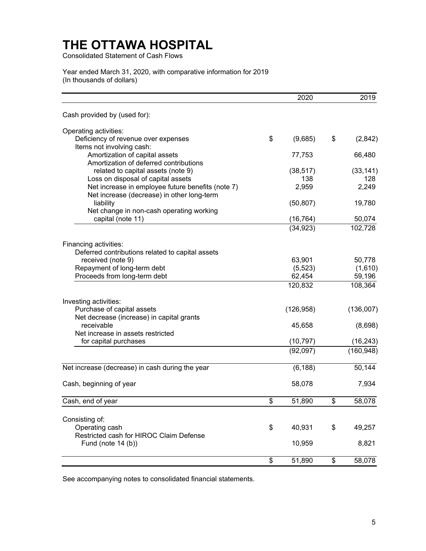Consolidated Statement of Cash Flows

Year ended March 31, 2020, with comparative information for 2019 (In thousands of dollars)

|                                                   | 2020          | 2019          |
|---------------------------------------------------|---------------|---------------|
| Cash provided by (used for):                      |               |               |
| Operating activities:                             |               |               |
| Deficiency of revenue over expenses               | \$<br>(9,685) | \$<br>(2,842) |
| Items not involving cash:                         |               |               |
| Amortization of capital assets                    | 77,753        | 66,480        |
| Amortization of deferred contributions            |               |               |
| related to capital assets (note 9)                | (38, 517)     | (33, 141)     |
| Loss on disposal of capital assets                | 138           | 128           |
| Net increase in employee future benefits (note 7) | 2,959         | 2,249         |
| Net increase (decrease) in other long-term        |               |               |
| liability                                         | (50, 807)     | 19,780        |
| Net change in non-cash operating working          |               |               |
| capital (note 11)                                 | (16, 764)     | 50,074        |
|                                                   | (34, 923)     | 102,728       |
| Financing activities:                             |               |               |
| Deferred contributions related to capital assets  |               |               |
| received (note 9)                                 | 63,901        | 50,778        |
| Repayment of long-term debt                       | (5, 523)      | (1,610)       |
| Proceeds from long-term debt                      | 62,454        | 59,196        |
|                                                   | 120,832       | 108,364       |
| Investing activities:                             |               |               |
| Purchase of capital assets                        | (126, 958)    | (136,007)     |
| Net decrease (increase) in capital grants         |               |               |
| receivable                                        | 45,658        | (8,698)       |
| Net increase in assets restricted                 |               |               |
| for capital purchases                             | (10, 797)     | (16, 243)     |
|                                                   | (92,097)      | (160, 948)    |
| Net increase (decrease) in cash during the year   | (6, 188)      | 50,144        |
|                                                   |               |               |
| Cash, beginning of year                           | 58,078        | 7,934         |
| Cash, end of year                                 | \$<br>51,890  | \$<br>58,078  |
|                                                   |               |               |
| Consisting of:                                    |               |               |
| Operating cash                                    | \$<br>40,931  | \$<br>49,257  |
| Restricted cash for HIROC Claim Defense           |               |               |
| Fund (note 14 (b))                                | 10,959        | 8,821         |
|                                                   |               |               |
|                                                   | \$<br>51,890  | \$<br>58,078  |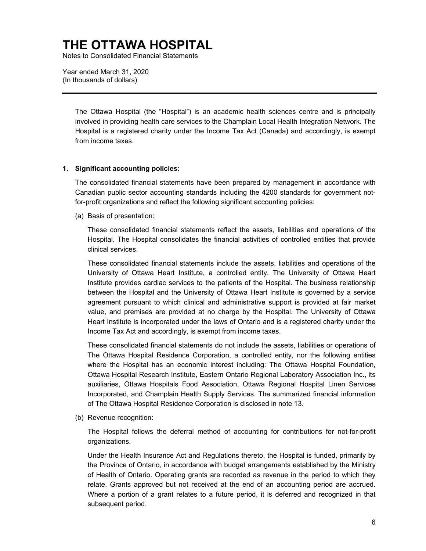Notes to Consolidated Financial Statements

Year ended March 31, 2020 (In thousands of dollars)

> The Ottawa Hospital (the "Hospital") is an academic health sciences centre and is principally involved in providing health care services to the Champlain Local Health Integration Network. The Hospital is a registered charity under the Income Tax Act (Canada) and accordingly, is exempt from income taxes.

### **1. Significant accounting policies:**

The consolidated financial statements have been prepared by management in accordance with Canadian public sector accounting standards including the 4200 standards for government notfor-profit organizations and reflect the following significant accounting policies:

(a) Basis of presentation:

These consolidated financial statements reflect the assets, liabilities and operations of the Hospital. The Hospital consolidates the financial activities of controlled entities that provide clinical services.

These consolidated financial statements include the assets, liabilities and operations of the University of Ottawa Heart Institute, a controlled entity. The University of Ottawa Heart Institute provides cardiac services to the patients of the Hospital. The business relationship between the Hospital and the University of Ottawa Heart Institute is governed by a service agreement pursuant to which clinical and administrative support is provided at fair market value, and premises are provided at no charge by the Hospital. The University of Ottawa Heart Institute is incorporated under the laws of Ontario and is a registered charity under the Income Tax Act and accordingly, is exempt from income taxes.

These consolidated financial statements do not include the assets, liabilities or operations of The Ottawa Hospital Residence Corporation, a controlled entity, nor the following entities where the Hospital has an economic interest including: The Ottawa Hospital Foundation, Ottawa Hospital Research Institute, Eastern Ontario Regional Laboratory Association Inc., its auxiliaries, Ottawa Hospitals Food Association, Ottawa Regional Hospital Linen Services Incorporated, and Champlain Health Supply Services. The summarized financial information of The Ottawa Hospital Residence Corporation is disclosed in note 13.

(b) Revenue recognition:

The Hospital follows the deferral method of accounting for contributions for not-for-profit organizations.

Under the Health Insurance Act and Regulations thereto, the Hospital is funded, primarily by the Province of Ontario, in accordance with budget arrangements established by the Ministry of Health of Ontario. Operating grants are recorded as revenue in the period to which they relate. Grants approved but not received at the end of an accounting period are accrued. Where a portion of a grant relates to a future period, it is deferred and recognized in that subsequent period.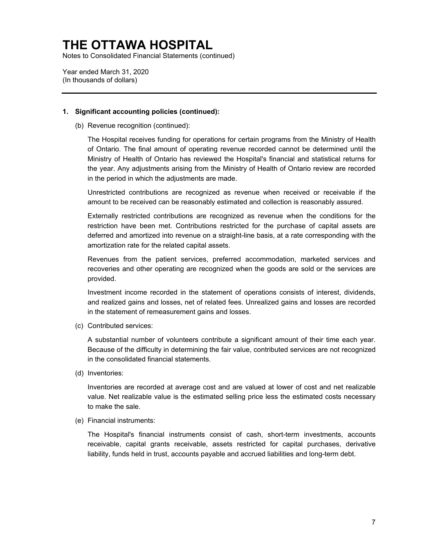Notes to Consolidated Financial Statements (continued)

Year ended March 31, 2020 (In thousands of dollars)

#### **1. Significant accounting policies (continued):**

(b) Revenue recognition (continued):

The Hospital receives funding for operations for certain programs from the Ministry of Health of Ontario. The final amount of operating revenue recorded cannot be determined until the Ministry of Health of Ontario has reviewed the Hospital's financial and statistical returns for the year. Any adjustments arising from the Ministry of Health of Ontario review are recorded in the period in which the adjustments are made.

Unrestricted contributions are recognized as revenue when received or receivable if the amount to be received can be reasonably estimated and collection is reasonably assured.

Externally restricted contributions are recognized as revenue when the conditions for the restriction have been met. Contributions restricted for the purchase of capital assets are deferred and amortized into revenue on a straight-line basis, at a rate corresponding with the amortization rate for the related capital assets.

Revenues from the patient services, preferred accommodation, marketed services and recoveries and other operating are recognized when the goods are sold or the services are provided.

Investment income recorded in the statement of operations consists of interest, dividends, and realized gains and losses, net of related fees. Unrealized gains and losses are recorded in the statement of remeasurement gains and losses.

(c) Contributed services:

A substantial number of volunteers contribute a significant amount of their time each year. Because of the difficulty in determining the fair value, contributed services are not recognized in the consolidated financial statements.

(d) Inventories:

Inventories are recorded at average cost and are valued at lower of cost and net realizable value. Net realizable value is the estimated selling price less the estimated costs necessary to make the sale.

(e) Financial instruments:

 The Hospital's financial instruments consist of cash, short-term investments, accounts receivable, capital grants receivable, assets restricted for capital purchases, derivative liability, funds held in trust, accounts payable and accrued liabilities and long-term debt.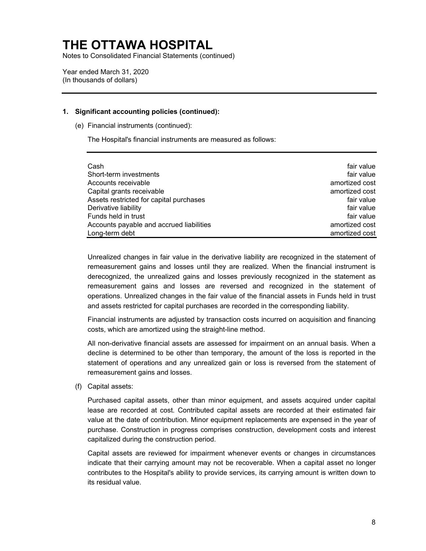Notes to Consolidated Financial Statements (continued)

Year ended March 31, 2020 (In thousands of dollars)

#### **1. Significant accounting policies (continued):**

(e) Financial instruments (continued):

The Hospital's financial instruments are measured as follows:

| Cash                                     | fair value     |
|------------------------------------------|----------------|
| Short-term investments                   | fair value     |
| Accounts receivable                      | amortized cost |
| Capital grants receivable                | amortized cost |
| Assets restricted for capital purchases  | fair value     |
| Derivative liability                     | fair value     |
| Funds held in trust                      | fair value     |
| Accounts payable and accrued liabilities | amortized cost |
| Long-term debt                           | amortized cost |

Unrealized changes in fair value in the derivative liability are recognized in the statement of remeasurement gains and losses until they are realized. When the financial instrument is derecognized, the unrealized gains and losses previously recognized in the statement as remeasurement gains and losses are reversed and recognized in the statement of operations. Unrealized changes in the fair value of the financial assets in Funds held in trust and assets restricted for capital purchases are recorded in the corresponding liability.

Financial instruments are adjusted by transaction costs incurred on acquisition and financing costs, which are amortized using the straight-line method.

All non-derivative financial assets are assessed for impairment on an annual basis. When a decline is determined to be other than temporary, the amount of the loss is reported in the statement of operations and any unrealized gain or loss is reversed from the statement of remeasurement gains and losses.

(f) Capital assets:

Purchased capital assets, other than minor equipment, and assets acquired under capital lease are recorded at cost. Contributed capital assets are recorded at their estimated fair value at the date of contribution. Minor equipment replacements are expensed in the year of purchase. Construction in progress comprises construction, development costs and interest capitalized during the construction period.

Capital assets are reviewed for impairment whenever events or changes in circumstances indicate that their carrying amount may not be recoverable. When a capital asset no longer contributes to the Hospital's ability to provide services, its carrying amount is written down to its residual value.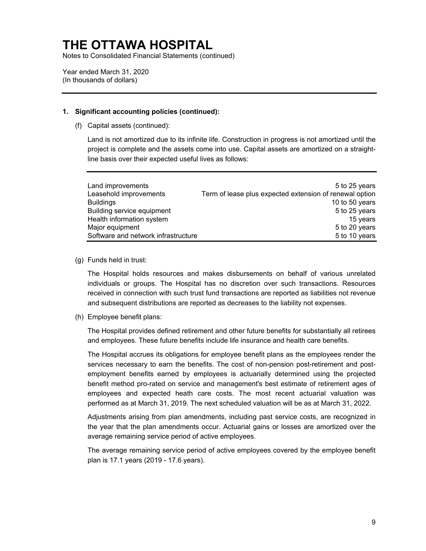Notes to Consolidated Financial Statements (continued)

Year ended March 31, 2020 (In thousands of dollars)

#### **1. Significant accounting policies (continued):**

(f) Capital assets (continued):

Land is not amortized due to its infinite life. Construction in progress is not amortized until the project is complete and the assets come into use. Capital assets are amortized on a straightline basis over their expected useful lives as follows:

| Land improvements                   | 5 to 25 years                                           |
|-------------------------------------|---------------------------------------------------------|
| Leasehold improvements              | Term of lease plus expected extension of renewal option |
| <b>Buildings</b>                    | 10 to 50 years                                          |
| Building service equipment          | 5 to 25 years                                           |
| Health information system           | 15 years                                                |
| Major equipment                     | 5 to 20 years                                           |
| Software and network infrastructure | 5 to 10 years                                           |

#### (g) Funds held in trust:

The Hospital holds resources and makes disbursements on behalf of various unrelated individuals or groups. The Hospital has no discretion over such transactions. Resources received in connection with such trust fund transactions are reported as liabilities not revenue and subsequent distributions are reported as decreases to the liability not expenses.

(h) Employee benefit plans:

The Hospital provides defined retirement and other future benefits for substantially all retirees and employees. These future benefits include life insurance and health care benefits.

The Hospital accrues its obligations for employee benefit plans as the employees render the services necessary to earn the benefits. The cost of non-pension post-retirement and postemployment benefits earned by employees is actuarially determined using the projected benefit method pro-rated on service and management's best estimate of retirement ages of employees and expected heath care costs. The most recent actuarial valuation was performed as at March 31, 2019. The next scheduled valuation will be as at March 31, 2022.

Adjustments arising from plan amendments, including past service costs, are recognized in the year that the plan amendments occur. Actuarial gains or losses are amortized over the average remaining service period of active employees.

The average remaining service period of active employees covered by the employee benefit plan is 17.1 years (2019 - 17.6 years).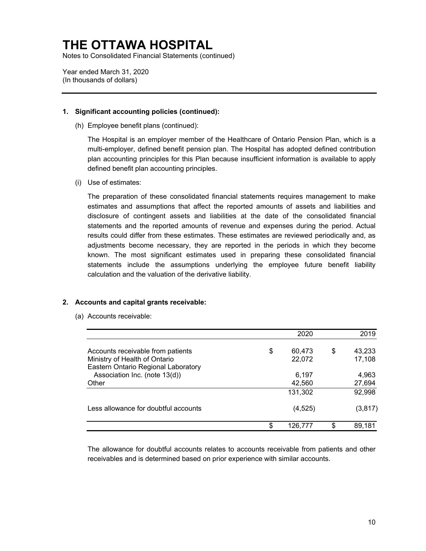Notes to Consolidated Financial Statements (continued)

Year ended March 31, 2020 (In thousands of dollars)

#### **1. Significant accounting policies (continued):**

(h) Employee benefit plans (continued):

 The Hospital is an employer member of the Healthcare of Ontario Pension Plan, which is a multi-employer, defined benefit pension plan. The Hospital has adopted defined contribution plan accounting principles for this Plan because insufficient information is available to apply defined benefit plan accounting principles.

(i) Use of estimates:

The preparation of these consolidated financial statements requires management to make estimates and assumptions that affect the reported amounts of assets and liabilities and disclosure of contingent assets and liabilities at the date of the consolidated financial statements and the reported amounts of revenue and expenses during the period. Actual results could differ from these estimates. These estimates are reviewed periodically and, as adjustments become necessary, they are reported in the periods in which they become known. The most significant estimates used in preparing these consolidated financial statements include the assumptions underlying the employee future benefit liability calculation and the valuation of the derivative liability.

### **2. Accounts and capital grants receivable:**

(a) Accounts receivable:

|                                                                      | 2020                   |    | 2019             |
|----------------------------------------------------------------------|------------------------|----|------------------|
| Accounts receivable from patients<br>Ministry of Health of Ontario   | \$<br>60,473<br>22,072 | \$ | 43,233<br>17,108 |
| Eastern Ontario Regional Laboratory<br>Association Inc. (note 13(d)) | 6,197                  |    | 4,963            |
| Other                                                                | 42,560                 |    | 27,694           |
|                                                                      | 131,302                |    | 92,998           |
| Less allowance for doubtful accounts                                 | (4, 525)               |    | (3, 817)         |
|                                                                      | \$<br>126.777          | ß. | 89,181           |

The allowance for doubtful accounts relates to accounts receivable from patients and other receivables and is determined based on prior experience with similar accounts.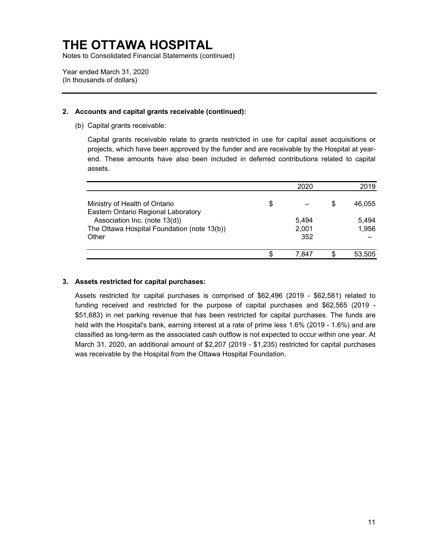Notes to Consolidated Financial Statements (continued)

Year ended March 31, 2020 (In thousands of dollars)

### **2. Accounts and capital grants receivable (continued):**

(b) Capital grants receivable:

Capital grants receivable relate to grants restricted in use for capital asset acquisitions or projects, which have been approved by the funder and are receivable by the Hospital at yearend. These amounts have also been included in deferred contributions related to capital assets.

|                                                                      |    | 2020  |   | 2019   |
|----------------------------------------------------------------------|----|-------|---|--------|
| Ministry of Health of Ontario                                        | \$ |       | S | 46,055 |
| Eastern Ontario Regional Laboratory<br>Association Inc. (note 13(d)) |    | 5,494 |   | 5,494  |
| The Ottawa Hospital Foundation (note 13(b))                          |    | 2,001 |   | 1,956  |
| Other                                                                |    | 352   |   |        |
|                                                                      | S  | 7.847 |   | 53,505 |

### **3. Assets restricted for capital purchases:**

Assets restricted for capital purchases is comprised of \$62,496 (2019 - \$62,581) related to funding received and restricted for the purpose of capital purchases and \$62,565 (2019 - \$51,683) in net parking revenue that has been restricted for capital purchases. The funds are held with the Hospital's bank, earning interest at a rate of prime less 1.6% (2019 - 1.6%) and are classified as long-term as the associated cash outflow is not expected to occur within one year. At March 31, 2020, an additional amount of \$2,207 (2019 - \$1,235) restricted for capital purchases was receivable by the Hospital from the Ottawa Hospital Foundation.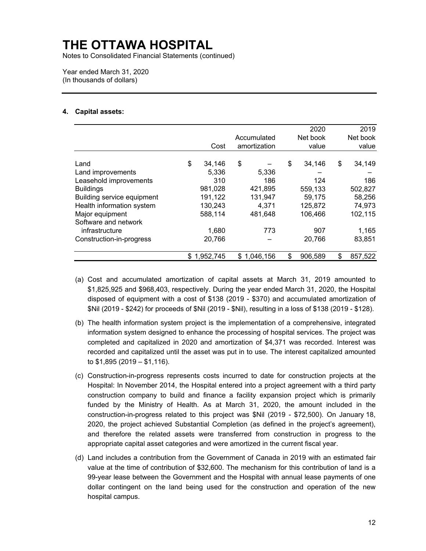Notes to Consolidated Financial Statements (continued)

Year ended March 31, 2020 (In thousands of dollars)

### **4. Capital assets:**

|                            |     |           |              |          | 2020    | 2019          |
|----------------------------|-----|-----------|--------------|----------|---------|---------------|
|                            |     |           | Accumulated  | Net book |         | Net book      |
|                            |     | Cost      | amortization |          | value   | value         |
| Land                       | \$  | 34,146    | \$           | \$       | 34,146  | \$<br>34,149  |
| Land improvements          |     | 5,336     | 5,336        |          |         |               |
| Leasehold improvements     |     | 310       | 186          |          | 124     | 186           |
| <b>Buildings</b>           |     | 981,028   | 421,895      |          | 559,133 | 502,827       |
| Building service equipment |     | 191,122   | 131,947      |          | 59.175  | 58,256        |
| Health information system  |     | 130,243   | 4.371        |          | 125,872 | 74,973        |
| Major equipment            |     | 588,114   | 481.648      |          | 106,466 | 102,115       |
| Software and network       |     |           |              |          |         |               |
| infrastructure             |     | 1,680     | 773          |          | 907     | 1,165         |
| Construction-in-progress   |     | 20,766    |              |          | 20,766  | 83,851        |
|                            | \$. | 1,952,745 | \$1,046,156  |          | 906,589 | \$<br>857,522 |

- (a) Cost and accumulated amortization of capital assets at March 31, 2019 amounted to \$1,825,925 and \$968,403, respectively. During the year ended March 31, 2020, the Hospital disposed of equipment with a cost of \$138 (2019 - \$370) and accumulated amortization of \$Nil (2019 - \$242) for proceeds of \$Nil (2019 - \$Nil), resulting in a loss of \$138 (2019 - \$128).
- to  $$1,895$  (2019 \$1,116). (b) The health information system project is the implementation of a comprehensive, integrated information system designed to enhance the processing of hospital services. The project was completed and capitalized in 2020 and amortization of \$4,371 was recorded. Interest was recorded and capitalized until the asset was put in to use. The interest capitalized amounted
- (c) Construction-in-progress represents costs incurred to date for construction projects at the Hospital: In November 2014, the Hospital entered into a project agreement with a third party construction company to build and finance a facility expansion project which is primarily funded by the Ministry of Health. As at March 31, 2020, the amount included in the construction-in-progress related to this project was \$Nil (2019 - \$72,500). On January 18, 2020, the project achieved Substantial Completion (as defined in the project's agreement), and therefore the related assets were transferred from construction in progress to the appropriate capital asset categories and were amortized in the current fiscal year.
- (d) Land includes a contribution from the Government of Canada in 2019 with an estimated fair value at the time of contribution of \$32,600. The mechanism for this contribution of land is a 99-year lease between the Government and the Hospital with annual lease payments of one dollar contingent on the land being used for the construction and operation of the new hospital campus.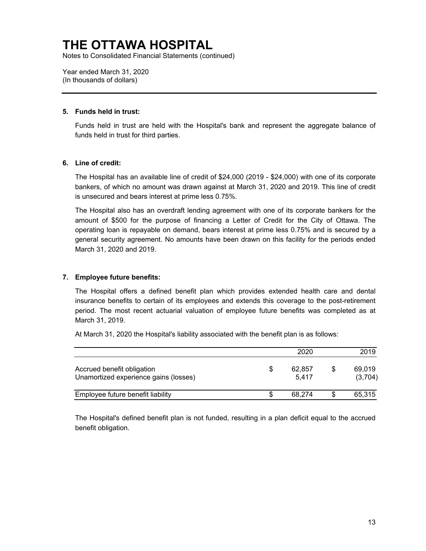Notes to Consolidated Financial Statements (continued)

Year ended March 31, 2020 (In thousands of dollars)

#### **5. Funds held in trust:**

Funds held in trust are held with the Hospital's bank and represent the aggregate balance of funds held in trust for third parties.

### **6. Line of credit:**

The Hospital has an available line of credit of \$24,000 (2019 - \$24,000) with one of its corporate bankers, of which no amount was drawn against at March 31, 2020 and 2019. This line of credit is unsecured and bears interest at prime less 0.75%.

 general security agreement. No amounts have been drawn on this facility for the periods ended The Hospital also has an overdraft lending agreement with one of its corporate bankers for the amount of \$500 for the purpose of financing a Letter of Credit for the City of Ottawa. The operating loan is repayable on demand, bears interest at prime less 0.75% and is secured by a March 31, 2020 and 2019.

### **7. Employee future benefits:**

The Hospital offers a defined benefit plan which provides extended health care and dental insurance benefits to certain of its employees and extends this coverage to the post-retirement period. The most recent actuarial valuation of employee future benefits was completed as at March 31, 2019.

At March 31, 2020 the Hospital's liability associated with the benefit plan is as follows:

|                                                                     |   | 2020            |   | 2019              |
|---------------------------------------------------------------------|---|-----------------|---|-------------------|
| Accrued benefit obligation<br>Unamortized experience gains (losses) | S | 62.857<br>5.417 | S | 69,019<br>(3,704) |
| Employee future benefit liability                                   | S | 68.274          |   | 65,315            |

The Hospital's defined benefit plan is not funded, resulting in a plan deficit equal to the accrued benefit obligation.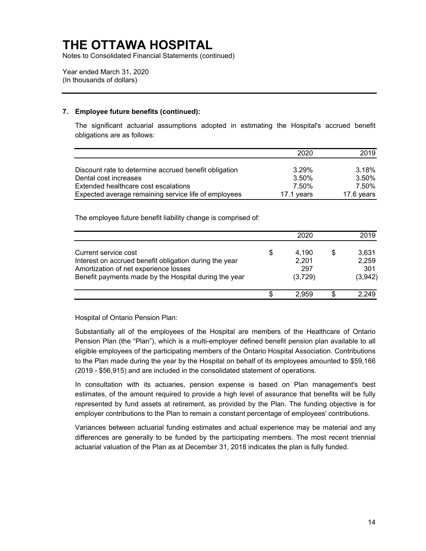Notes to Consolidated Financial Statements (continued)

Year ended March 31, 2020 (In thousands of dollars)

#### **7. Employee future benefits (continued):**

The significant actuarial assumptions adopted in estimating the Hospital's accrued benefit obligations are as follows:

|                                                       | 2020       | 2019       |
|-------------------------------------------------------|------------|------------|
|                                                       |            |            |
| Discount rate to determine accrued benefit obligation | 3.29%      | 3.18%      |
| Dental cost increases                                 | 3.50%      | 3.50%      |
| Extended healthcare cost escalations                  | 7.50%      | 7.50%      |
| Expected average remaining service life of employees  | 17.1 years | 17.6 years |

The employee future benefit liability change is comprised of:

|                                                                                                                                                                                  |    | 2020                              |   | 2019                             |
|----------------------------------------------------------------------------------------------------------------------------------------------------------------------------------|----|-----------------------------------|---|----------------------------------|
| Current service cost<br>Interest on accrued benefit obligation during the year<br>Amortization of net experience losses<br>Benefit payments made by the Hospital during the year | \$ | 4.190<br>2,201<br>297<br>(3, 729) | S | 3,631<br>2,259<br>301<br>(3,942) |
|                                                                                                                                                                                  | S  | 2.959                             |   | -249                             |

Hospital of Ontario Pension Plan:

Substantially all of the employees of the Hospital are members of the Healthcare of Ontario Pension Plan (the "Plan"), which is a multi-employer defined benefit pension plan available to all eligible employees of the participating members of the Ontario Hospital Association. Contributions to the Plan made during the year by the Hospital on behalf of its employees amounted to \$59,166 (2019 - \$56,915) and are included in the consolidated statement of operations.

In consultation with its actuaries, pension expense is based on Plan management's best estimates, of the amount required to provide a high level of assurance that benefits will be fully represented by fund assets at retirement, as provided by the Plan. The funding objective is for employer contributions to the Plan to remain a constant percentage of employees' contributions.

Variances between actuarial funding estimates and actual experience may be material and any differences are generally to be funded by the participating members. The most recent triennial actuarial valuation of the Plan as at December 31, 2018 indicates the plan is fully funded.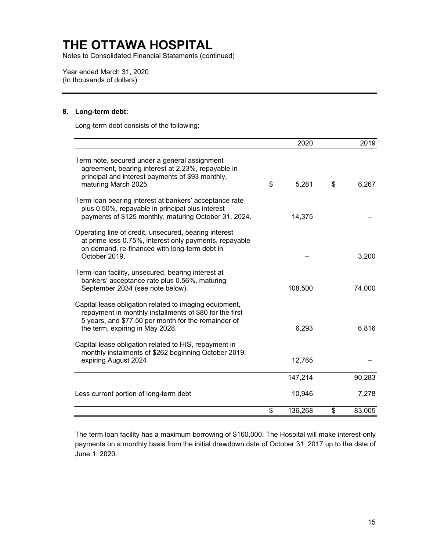Notes to Consolidated Financial Statements (continued)

Year ended March 31, 2020 (In thousands of dollars)

### **8. Long-term debt:**

Long-term debt consists of the following:

|                                                                                                                                                                                                             | 2020          | 2019         |
|-------------------------------------------------------------------------------------------------------------------------------------------------------------------------------------------------------------|---------------|--------------|
| Term note, secured under a general assignment<br>agreement, bearing interest at 2.23%, repayable in<br>principal and interest payments of \$93 monthly,<br>maturing March 2025.                             | \$<br>5,281   | \$<br>6,267  |
| Term loan bearing interest at bankers' acceptance rate<br>plus 0.50%, repayable in principal plus interest<br>payments of \$125 monthly, maturing October 31, 2024.                                         | 14,375        |              |
| Operating line of credit, unsecured, bearing interest<br>at prime less 0.75%, interest only payments, repayable<br>on demand, re-financed with long-term debt in<br>October 2019.                           |               | 3,200        |
| Term loan facility, unsecured, bearing interest at<br>bankers' acceptance rate plus 0.56%, maturing<br>September 2034 (see note below).                                                                     | 108,500       | 74,000       |
| Capital lease obligation related to imaging equipment,<br>repayment in monthly installments of \$80 for the first<br>5 years, and \$77.50 per month for the remainder of<br>the term, expiring in May 2028. | 6,293         | 6,816        |
| Capital lease obligation related to HIS, repayment in<br>monthly instalments of \$262 beginning October 2019,<br>expiring August 2024                                                                       | 12,765        |              |
|                                                                                                                                                                                                             | 147,214       | 90,283       |
| Less current portion of long-term debt                                                                                                                                                                      | 10,946        | 7,278        |
|                                                                                                                                                                                                             | \$<br>136,268 | \$<br>83,005 |

June 1, 2020. The term loan facility has a maximum borrowing of \$160,000. The Hospital will make interest-only payments on a monthly basis from the initial drawdown date of October 31, 2017 up to the date of June 1, 2020.<br>15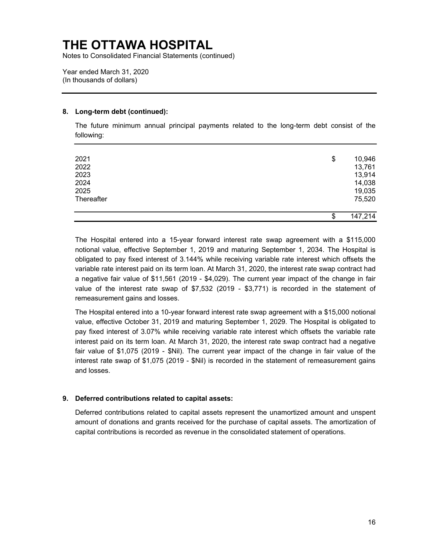Notes to Consolidated Financial Statements (continued)

Year ended March 31, 2020 (In thousands of dollars)

#### **8. Long-term debt (continued):**

The future minimum annual principal payments related to the long-term debt consist of the following:

|            | \$<br>147,214 |
|------------|---------------|
| Thereafter | 75,520        |
| 2025       | 19,035        |
| 2024       | 14,038        |
| 2023       | 13,914        |
| 2022       | 13,761        |
| 2021       | \$<br>10,946  |

The Hospital entered into a 15-year forward interest rate swap agreement with a \$115,000 notional value, effective September 1, 2019 and maturing September 1, 2034. The Hospital is obligated to pay fixed interest of 3.144% while receiving variable rate interest which offsets the variable rate interest paid on its term loan. At March 31, 2020, the interest rate swap contract had a negative fair value of \$11,561 (2019 - \$4,029). The current year impact of the change in fair value of the interest rate swap of \$7,532 (2019 - \$3,771) is recorded in the statement of remeasurement gains and losses.

The Hospital entered into a 10-year forward interest rate swap agreement with a \$15,000 notional value, effective October 31, 2019 and maturing September 1, 2029. The Hospital is obligated to pay fixed interest of 3.07% while receiving variable rate interest which offsets the variable rate interest paid on its term loan. At March 31, 2020, the interest rate swap contract had a negative fair value of \$1,075 (2019 - \$Nil). The current year impact of the change in fair value of the interest rate swap of \$1,075 (2019 - \$Nil) is recorded in the statement of remeasurement gains and losses.

#### **9. Deferred contributions related to capital assets:**

Deferred contributions related to capital assets represent the unamortized amount and unspent amount of donations and grants received for the purchase of capital assets. The amortization of capital contributions is recorded as revenue in the consolidated statement of operations.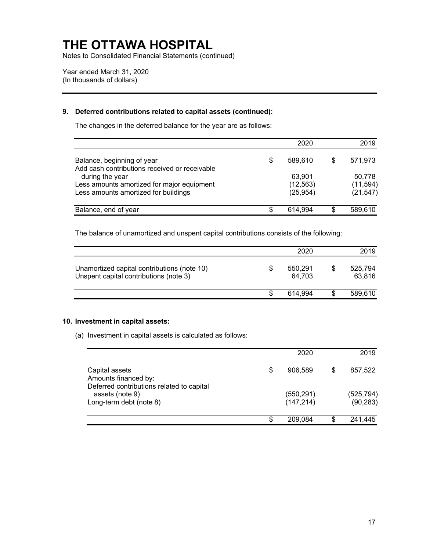Notes to Consolidated Financial Statements (continued)

Year ended March 31, 2020 (In thousands of dollars)

### **9. Deferred contributions related to capital assets (continued):**

The changes in the deferred balance for the year are as follows:

|                                                                  |    | 2020      |    | 2019      |
|------------------------------------------------------------------|----|-----------|----|-----------|
| Balance, beginning of year                                       | \$ | 589.610   | \$ | 571,973   |
| Add cash contributions received or receivable<br>during the year |    | 63.901    |    | 50,778    |
| Less amounts amortized for major equipment                       |    | (12, 563) |    | (11, 594) |
| Less amounts amortized for buildings                             |    | (25, 954) |    | (21, 547) |
| Balance, end of year                                             | S  | 614.994   | S. | 589,610   |

The balance of unamortized and unspent capital contributions consists of the following:

|                                                                                       |   | 2020              |    | 2019              |
|---------------------------------------------------------------------------------------|---|-------------------|----|-------------------|
| Unamortized capital contributions (note 10)<br>Unspent capital contributions (note 3) | S | 550.291<br>64.703 | \$ | 525,794<br>63,816 |
|                                                                                       | S | 614.994           | S  | 589,610           |

### **10. Investment in capital assets:**

(a) Investment in capital assets is calculated as follows:

|                                                                                     |    | 2020                     | 2019                    |
|-------------------------------------------------------------------------------------|----|--------------------------|-------------------------|
| Capital assets<br>Amounts financed by:<br>Deferred contributions related to capital | \$ | 906,589                  | 857,522                 |
| assets (note 9)<br>Long-term debt (note 8)                                          |    | (550, 291)<br>(147, 214) | (525, 794)<br>(90, 283) |
|                                                                                     | S  | 209,084                  | 241,445                 |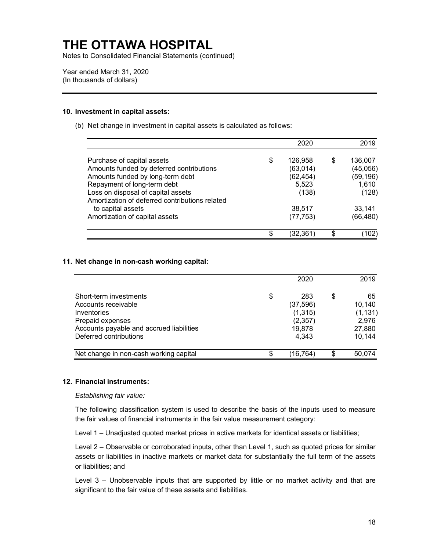Notes to Consolidated Financial Statements (continued)

Year ended March 31, 2020 (In thousands of dollars)

#### **10. Investment in capital assets:**

(b) Net change in investment in capital assets is calculated as follows:

|                                                                                                                                                                                 |   | 2020                                                | 2019                                                     |
|---------------------------------------------------------------------------------------------------------------------------------------------------------------------------------|---|-----------------------------------------------------|----------------------------------------------------------|
| Purchase of capital assets<br>Amounts funded by deferred contributions<br>Amounts funded by long-term debt<br>Repayment of long-term debt<br>Loss on disposal of capital assets | S | 126,958<br>(63, 014)<br>(62, 454)<br>5.523<br>(138) | \$<br>136,007<br>(45,056)<br>(59, 196)<br>1,610<br>(128) |
| Amortization of deferred contributions related<br>to capital assets<br>Amortization of capital assets                                                                           |   | 38,517<br>(77, 753)                                 | 33,141<br>(66, 480)                                      |
|                                                                                                                                                                                 |   | (32,361                                             | 102                                                      |

#### **11. Net change in non-cash working capital:**

|                                          | 2020            |    | 2019     |
|------------------------------------------|-----------------|----|----------|
| Short-term investments                   | \$<br>283       | \$ | 65       |
| Accounts receivable                      | (37, 596)       |    | 10,140   |
| Inventories                              | (1, 315)        |    | (1, 131) |
| Prepaid expenses                         | (2, 357)        |    | 2,976    |
| Accounts payable and accrued liabilities | 19,878          |    | 27,880   |
| Deferred contributions                   | 4.343           |    | 10,144   |
| Net change in non-cash working capital   | \$<br>(16, 764) | S  | 50,074   |

#### **12. Financial instruments:**

*Establishing fair value:* 

The following classification system is used to describe the basis of the inputs used to measure the fair values of financial instruments in the fair value measurement category:

Level 1 – Unadjusted quoted market prices in active markets for identical assets or liabilities;

Level 2 – Observable or corroborated inputs, other than Level 1, such as quoted prices for similar assets or liabilities in inactive markets or market data for substantially the full term of the assets or liabilities; and

Level 3 – Unobservable inputs that are supported by little or no market activity and that are significant to the fair value of these assets and liabilities.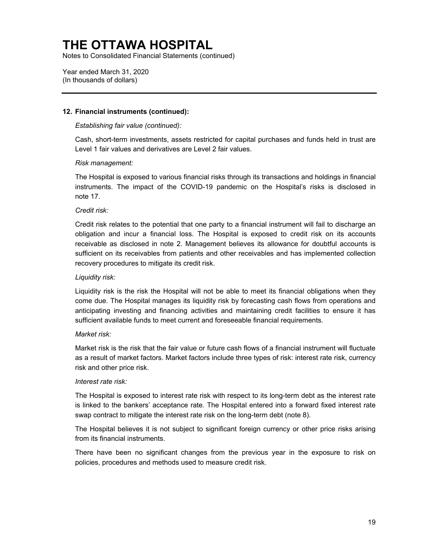Notes to Consolidated Financial Statements (continued)

Year ended March 31, 2020 (In thousands of dollars)

### **12. Financial instruments (continued):**

*Establishing fair value (continued):* 

Cash, short-term investments, assets restricted for capital purchases and funds held in trust are Level 1 fair values and derivatives are Level 2 fair values.

#### *Risk management:*

The Hospital is exposed to various financial risks through its transactions and holdings in financial instruments. The impact of the COVID-19 pandemic on the Hospital's risks is disclosed in note 17.

### *Credit risk:*

Credit risk relates to the potential that one party to a financial instrument will fail to discharge an obligation and incur a financial loss. The Hospital is exposed to credit risk on its accounts receivable as disclosed in note 2. Management believes its allowance for doubtful accounts is sufficient on its receivables from patients and other receivables and has implemented collection recovery procedures to mitigate its credit risk.

#### *Liquidity risk:*

Liquidity risk is the risk the Hospital will not be able to meet its financial obligations when they come due. The Hospital manages its liquidity risk by forecasting cash flows from operations and anticipating investing and financing activities and maintaining credit facilities to ensure it has sufficient available funds to meet current and foreseeable financial requirements.

#### *Market risk:*

Market risk is the risk that the fair value or future cash flows of a financial instrument will fluctuate as a result of market factors. Market factors include three types of risk: interest rate risk, currency risk and other price risk.

### *Interest rate risk:*

The Hospital is exposed to interest rate risk with respect to its long-term debt as the interest rate is linked to the bankers' acceptance rate. The Hospital entered into a forward fixed interest rate swap contract to mitigate the interest rate risk on the long-term debt (note 8).

The Hospital believes it is not subject to significant foreign currency or other price risks arising from its financial instruments.

There have been no significant changes from the previous year in the exposure to risk on policies, procedures and methods used to measure credit risk.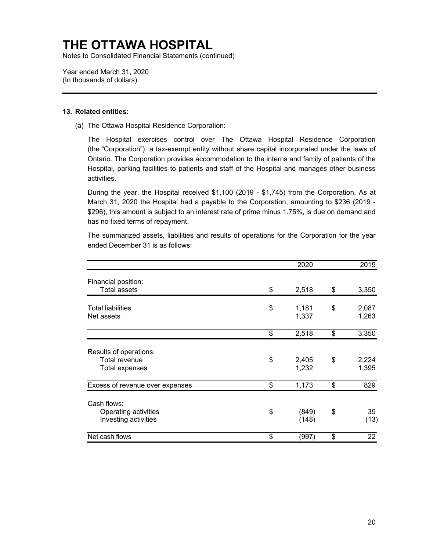Notes to Consolidated Financial Statements (continued)

Year ended March 31, 2020 (In thousands of dollars)

#### **13. Related entities:**

(a) The Ottawa Hospital Residence Corporation:

The Hospital exercises control over The Ottawa Hospital Residence Corporation (the "Corporation"), a tax-exempt entity without share capital incorporated under the laws of Ontario. The Corporation provides accommodation to the interns and family of patients of the Hospital, parking facilities to patients and staff of the Hospital and manages other business activities.

During the year, the Hospital received \$1,100 (2019 - \$1,745) from the Corporation. As at March 31, 2020 the Hospital had a payable to the Corporation, amounting to \$236 (2019 - \$296), this amount is subject to an interest rate of prime minus 1.75%, is due on demand and has no fixed terms of repayment.

The summarized assets, liabilities and results of operations for the Corporation for the year ended December 31 is as follows:

|                                                                  | 2020                 | 2019                 |
|------------------------------------------------------------------|----------------------|----------------------|
| Financial position:<br><b>Total assets</b>                       | \$<br>2,518          | \$<br>3,350          |
| <b>Total liabilities</b><br>Net assets                           | \$<br>1,181<br>1,337 | \$<br>2,087<br>1,263 |
|                                                                  | \$<br>2,518          | \$<br>3,350          |
| Results of operations:<br><b>Total revenue</b><br>Total expenses | \$<br>2,405<br>1,232 | \$<br>2,224<br>1,395 |
| Excess of revenue over expenses                                  | \$<br>1,173          | \$<br>829            |
| Cash flows:<br>Operating activities<br>Investing activities      | \$<br>(849)<br>(148) | \$<br>35<br>(13)     |
| Net cash flows                                                   | \$<br>(997)          | \$<br>22             |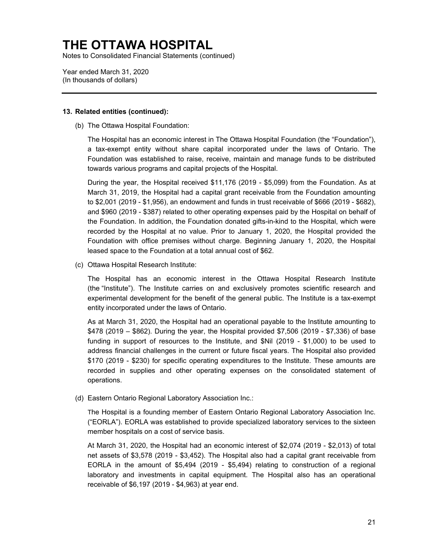Notes to Consolidated Financial Statements (continued)

Year ended March 31, 2020 (In thousands of dollars)

#### **13. Related entities (continued):**

(b) The Ottawa Hospital Foundation:

The Hospital has an economic interest in The Ottawa Hospital Foundation (the "Foundation"), a tax-exempt entity without share capital incorporated under the laws of Ontario. The Foundation was established to raise, receive, maintain and manage funds to be distributed towards various programs and capital projects of the Hospital.

 recorded by the Hospital at no value. Prior to January 1, 2020, the Hospital provided the During the year, the Hospital received \$11,176 (2019 - \$5,099) from the Foundation. As at March 31, 2019, the Hospital had a capital grant receivable from the Foundation amounting to \$2,001 (2019 - \$1,956), an endowment and funds in trust receivable of \$666 (2019 - \$682), and \$960 (2019 - \$387) related to other operating expenses paid by the Hospital on behalf of the Foundation. In addition, the Foundation donated gifts-in-kind to the Hospital, which were Foundation with office premises without charge. Beginning January 1, 2020, the Hospital leased space to the Foundation at a total annual cost of \$62.

(c) Ottawa Hospital Research Institute:

The Hospital has an economic interest in the Ottawa Hospital Research Institute (the "Institute"). The Institute carries on and exclusively promotes scientific research and experimental development for the benefit of the general public. The Institute is a tax-exempt entity incorporated under the laws of Ontario.

As at March 31, 2020, the Hospital had an operational payable to the Institute amounting to \$478 (2019 – \$862). During the year, the Hospital provided \$7,506 (2019 - \$7,336) of base funding in support of resources to the Institute, and \$Nil (2019 - \$1,000) to be used to address financial challenges in the current or future fiscal years. The Hospital also provided \$170 (2019 - \$230) for specific operating expenditures to the Institute. These amounts are recorded in supplies and other operating expenses on the consolidated statement of operations.

(d) Eastern Ontario Regional Laboratory Association Inc.:

The Hospital is a founding member of Eastern Ontario Regional Laboratory Association Inc. ("EORLA"). EORLA was established to provide specialized laboratory services to the sixteen member hospitals on a cost of service basis.

At March 31, 2020, the Hospital had an economic interest of \$2,074 (2019 - \$2,013) of total net assets of \$3,578 (2019 - \$3,452). The Hospital also had a capital grant receivable from EORLA in the amount of \$5,494 (2019 - \$5,494) relating to construction of a regional laboratory and investments in capital equipment. The Hospital also has an operational receivable of \$6,197 (2019 - \$4,963) at year end.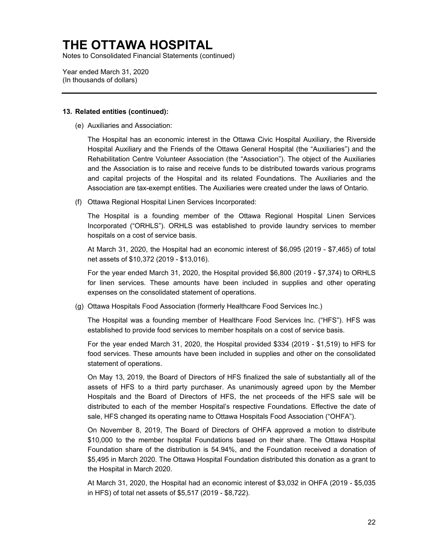Notes to Consolidated Financial Statements (continued)

Year ended March 31, 2020 (In thousands of dollars)

#### **13. Related entities (continued):**

(e) Auxiliaries and Association:

The Hospital has an economic interest in the Ottawa Civic Hospital Auxiliary, the Riverside Hospital Auxiliary and the Friends of the Ottawa General Hospital (the "Auxiliaries") and the Rehabilitation Centre Volunteer Association (the "Association"). The object of the Auxiliaries and the Association is to raise and receive funds to be distributed towards various programs and capital projects of the Hospital and its related Foundations. The Auxiliaries and the Association are tax-exempt entities. The Auxiliaries were created under the laws of Ontario.

(f) Ottawa Regional Hospital Linen Services Incorporated:

The Hospital is a founding member of the Ottawa Regional Hospital Linen Services Incorporated ("ORHLS"). ORHLS was established to provide laundry services to member hospitals on a cost of service basis.

At March 31, 2020, the Hospital had an economic interest of \$6,095 (2019 - \$7,465) of total net assets of \$10,372 (2019 - \$13,016).

For the year ended March 31, 2020, the Hospital provided \$6,800 (2019 - \$7,374) to ORHLS for linen services. These amounts have been included in supplies and other operating expenses on the consolidated statement of operations.

(g) Ottawa Hospitals Food Association (formerly Healthcare Food Services Inc.)

The Hospital was a founding member of Healthcare Food Services Inc. ("HFS"). HFS was established to provide food services to member hospitals on a cost of service basis.

For the year ended March 31, 2020, the Hospital provided \$334 (2019 - \$1,519) to HFS for food services. These amounts have been included in supplies and other on the consolidated statement of operations.

On May 13, 2019, the Board of Directors of HFS finalized the sale of substantially all of the assets of HFS to a third party purchaser. As unanimously agreed upon by the Member Hospitals and the Board of Directors of HFS, the net proceeds of the HFS sale will be distributed to each of the member Hospital's respective Foundations. Effective the date of sale, HFS changed its operating name to Ottawa Hospitals Food Association ("OHFA").

On November 8, 2019, The Board of Directors of OHFA approved a motion to distribute \$10,000 to the member hospital Foundations based on their share. The Ottawa Hospital Foundation share of the distribution is 54.94%, and the Foundation received a donation of \$5,495 in March 2020. The Ottawa Hospital Foundation distributed this donation as a grant to the Hospital in March 2020.

At March 31, 2020, the Hospital had an economic interest of \$3,032 in OHFA (2019 - \$5,035 in HFS) of total net assets of \$5,517 (2019 - \$8,722).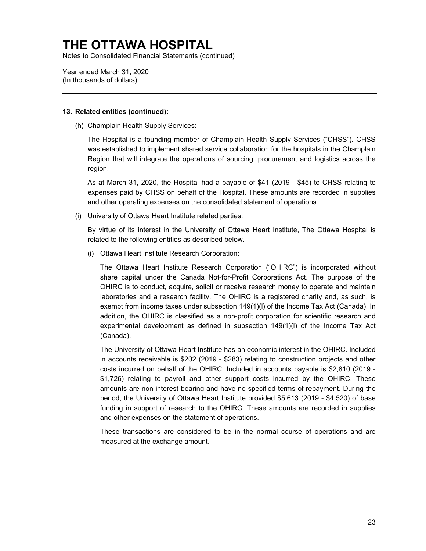Notes to Consolidated Financial Statements (continued)

Year ended March 31, 2020 (In thousands of dollars)

#### **13. Related entities (continued):**

(h) Champlain Health Supply Services:

The Hospital is a founding member of Champlain Health Supply Services ("CHSS"). CHSS was established to implement shared service collaboration for the hospitals in the Champlain Region that will integrate the operations of sourcing, procurement and logistics across the region.

As at March 31, 2020, the Hospital had a payable of \$41 (2019 - \$45) to CHSS relating to expenses paid by CHSS on behalf of the Hospital. These amounts are recorded in supplies and other operating expenses on the consolidated statement of operations.

(i) University of Ottawa Heart Institute related parties:

By virtue of its interest in the University of Ottawa Heart Institute, The Ottawa Hospital is related to the following entities as described below.

(i) Ottawa Heart Institute Research Corporation:

The Ottawa Heart Institute Research Corporation ("OHIRC") is incorporated without share capital under the Canada Not-for-Profit Corporations Act. The purpose of the OHIRC is to conduct, acquire, solicit or receive research money to operate and maintain laboratories and a research facility. The OHIRC is a registered charity and, as such, is exempt from income taxes under subsection 149(1)(l) of the Income Tax Act (Canada). In addition, the OHIRC is classified as a non-profit corporation for scientific research and experimental development as defined in subsection 149(1)(l) of the Income Tax Act (Canada).

 in accounts receivable is \$202 (2019 - \$283) relating to construction projects and other The University of Ottawa Heart Institute has an economic interest in the OHIRC. Included costs incurred on behalf of the OHIRC. Included in accounts payable is \$2,810 (2019 - \$1,726) relating to payroll and other support costs incurred by the OHIRC. These amounts are non-interest bearing and have no specified terms of repayment. During the period, the University of Ottawa Heart Institute provided \$5,613 (2019 - \$4,520) of base funding in support of research to the OHIRC. These amounts are recorded in supplies and other expenses on the statement of operations.

These transactions are considered to be in the normal course of operations and are measured at the exchange amount.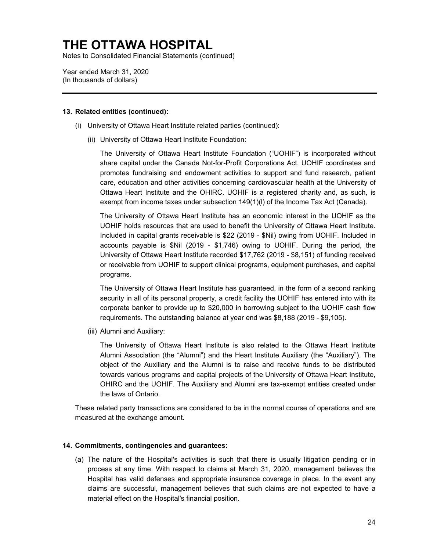Notes to Consolidated Financial Statements (continued)

Year ended March 31, 2020 (In thousands of dollars)

#### **13. Related entities (continued):**

- (i) University of Ottawa Heart Institute related parties (continued):
	- (ii) University of Ottawa Heart Institute Foundation:

The University of Ottawa Heart Institute Foundation ("UOHIF") is incorporated without share capital under the Canada Not-for-Profit Corporations Act. UOHIF coordinates and promotes fundraising and endowment activities to support and fund research, patient care, education and other activities concerning cardiovascular health at the University of Ottawa Heart Institute and the OHIRC. UOHIF is a registered charity and, as such, is exempt from income taxes under subsection 149(1)(l) of the Income Tax Act (Canada).

The University of Ottawa Heart Institute has an economic interest in the UOHIF as the UOHIF holds resources that are used to benefit the University of Ottawa Heart Institute. Included in capital grants receivable is \$22 (2019 - \$Nil) owing from UOHIF. Included in accounts payable is \$Nil (2019 - \$1,746) owing to UOHIF. During the period, the University of Ottawa Heart Institute recorded \$17,762 (2019 - \$8,151) of funding received or receivable from UOHIF to support clinical programs, equipment purchases, and capital programs.

The University of Ottawa Heart Institute has guaranteed, in the form of a second ranking security in all of its personal property, a credit facility the UOHIF has entered into with its corporate banker to provide up to \$20,000 in borrowing subject to the UOHIF cash flow requirements. The outstanding balance at year end was \$8,188 (2019 - \$9,105).

(iii) Alumni and Auxiliary:

The University of Ottawa Heart Institute is also related to the Ottawa Heart Institute Alumni Association (the "Alumni") and the Heart Institute Auxiliary (the "Auxiliary"). The object of the Auxiliary and the Alumni is to raise and receive funds to be distributed towards various programs and capital projects of the University of Ottawa Heart Institute, OHIRC and the UOHIF. The Auxiliary and Alumni are tax-exempt entities created under the laws of Ontario.

These related party transactions are considered to be in the normal course of operations and are measured at the exchange amount.

#### **14. Commitments, contingencies and guarantees:**

(a) The nature of the Hospital's activities is such that there is usually litigation pending or in process at any time. With respect to claims at March 31, 2020, management believes the Hospital has valid defenses and appropriate insurance coverage in place. In the event any claims are successful, management believes that such claims are not expected to have a material effect on the Hospital's financial position.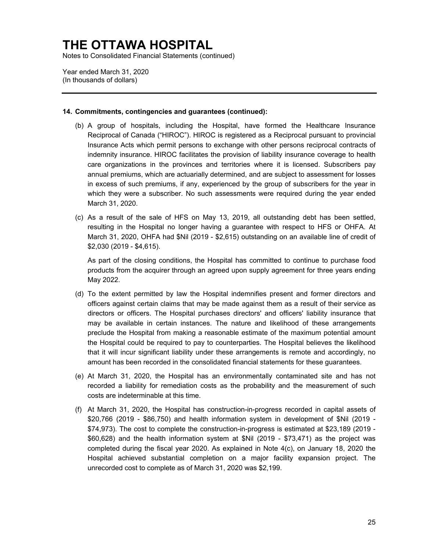Notes to Consolidated Financial Statements (continued)

Year ended March 31, 2020 (In thousands of dollars)

#### **14. Commitments, contingencies and guarantees (continued):**

- (b) A group of hospitals, including the Hospital, have formed the Healthcare Insurance Reciprocal of Canada ("HIROC"). HIROC is registered as a Reciprocal pursuant to provincial Insurance Acts which permit persons to exchange with other persons reciprocal contracts of indemnity insurance. HIROC facilitates the provision of liability insurance coverage to health care organizations in the provinces and territories where it is licensed. Subscribers pay annual premiums, which are actuarially determined, and are subject to assessment for losses in excess of such premiums, if any, experienced by the group of subscribers for the year in which they were a subscriber. No such assessments were required during the year ended March 31, 2020.
- (c) As a result of the sale of HFS on May 13, 2019, all outstanding debt has been settled, resulting in the Hospital no longer having a guarantee with respect to HFS or OHFA. At March 31, 2020, OHFA had \$Nil (2019 - \$2,615) outstanding on an available line of credit of \$2,030 (2019 - \$4,615).

As part of the closing conditions, the Hospital has committed to continue to purchase food products from the acquirer through an agreed upon supply agreement for three years ending May 2022.

- (d) To the extent permitted by law the Hospital indemnifies present and former directors and officers against certain claims that may be made against them as a result of their service as directors or officers. The Hospital purchases directors' and officers' liability insurance that may be available in certain instances. The nature and likelihood of these arrangements preclude the Hospital from making a reasonable estimate of the maximum potential amount the Hospital could be required to pay to counterparties. The Hospital believes the likelihood that it will incur significant liability under these arrangements is remote and accordingly, no amount has been recorded in the consolidated financial statements for these guarantees.
- (e) At March 31, 2020, the Hospital has an environmentally contaminated site and has not recorded a liability for remediation costs as the probability and the measurement of such costs are indeterminable at this time.
- (f) At March 31, 2020, the Hospital has construction-in-progress recorded in capital assets of \$20,766 (2019 - \$86,750) and health information system in development of \$Nil (2019 - \$74,973). The cost to complete the construction-in-progress is estimated at \$23,189 (2019 - \$60,628) and the health information system at \$Nil (2019 - \$73,471) as the project was completed during the fiscal year 2020. As explained in Note 4(c), on January 18, 2020 the Hospital achieved substantial completion on a major facility expansion project. The unrecorded cost to complete as of March 31, 2020 was \$2,199.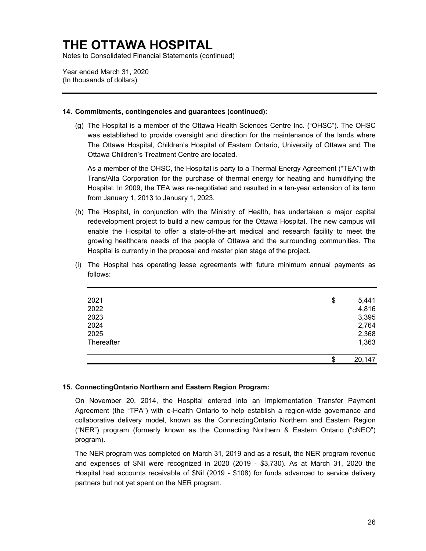Notes to Consolidated Financial Statements (continued)

Year ended March 31, 2020 (In thousands of dollars)

### **14. Commitments, contingencies and guarantees (continued):**

(g) The Hospital is a member of the Ottawa Health Sciences Centre Inc. ("OHSC"). The OHSC was established to provide oversight and direction for the maintenance of the lands where The Ottawa Hospital, Children's Hospital of Eastern Ontario, University of Ottawa and The Ottawa Children's Treatment Centre are located.

As a member of the OHSC, the Hospital is party to a Thermal Energy Agreement ("TEA") with Trans/Alta Corporation for the purchase of thermal energy for heating and humidifying the Hospital. In 2009, the TEA was re-negotiated and resulted in a ten-year extension of its term from January 1, 2013 to January 1, 2023.

- (h) The Hospital, in conjunction with the Ministry of Health, has undertaken a major capital redevelopment project to build a new campus for the Ottawa Hospital. The new campus will enable the Hospital to offer a state-of-the-art medical and research facility to meet the growing healthcare needs of the people of Ottawa and the surrounding communities. The Hospital is currently in the proposal and master plan stage of the project.
- (i) The Hospital has operating lease agreements with future minimum annual payments as follows:

| 2021       | \$<br>5,441  |
|------------|--------------|
| 2022       | 4,816        |
| 2023       | 3,395        |
| 2024       | 2,764        |
| 2025       | 2,368        |
| Thereafter | 1,363        |
|            |              |
|            | \$<br>20,147 |

### **15. ConnectingOntario Northern and Eastern Region Program:**

On November 20, 2014, the Hospital entered into an Implementation Transfer Payment Agreement (the "TPA") with e-Health Ontario to help establish a region-wide governance and collaborative delivery model, known as the ConnectingOntario Northern and Eastern Region ("NER") program (formerly known as the Connecting Northern & Eastern Ontario ("cNEO") program).

The NER program was completed on March 31, 2019 and as a result, the NER program revenue and expenses of \$Nil were recognized in 2020 (2019 - \$3,730). As at March 31, 2020 the Hospital had accounts receivable of \$Nil (2019 - \$108) for funds advanced to service delivery partners but not yet spent on the NER program.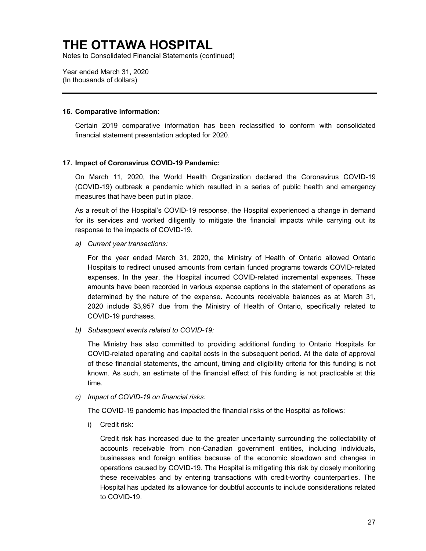Notes to Consolidated Financial Statements (continued)

Year ended March 31, 2020 (In thousands of dollars)

#### **16. Comparative information:**

Certain 2019 comparative information has been reclassified to conform with consolidated financial statement presentation adopted for 2020.

#### **17. Impact of Coronavirus COVID-19 Pandemic:**

On March 11, 2020, the World Health Organization declared the Coronavirus COVID-19 (COVID-19) outbreak a pandemic which resulted in a series of public health and emergency measures that have been put in place.

As a result of the Hospital's COVID-19 response, the Hospital experienced a change in demand for its services and worked diligently to mitigate the financial impacts while carrying out its response to the impacts of COVID-19.

*a) Current year transactions:* 

For the year ended March 31, 2020, the Ministry of Health of Ontario allowed Ontario Hospitals to redirect unused amounts from certain funded programs towards COVID-related expenses. In the year, the Hospital incurred COVID-related incremental expenses. These amounts have been recorded in various expense captions in the statement of operations as determined by the nature of the expense. Accounts receivable balances as at March 31, 2020 include \$3,957 due from the Ministry of Health of Ontario, specifically related to COVID-19 purchases.

*b) Subsequent events related to COVID-19:* 

The Ministry has also committed to providing additional funding to Ontario Hospitals for COVID-related operating and capital costs in the subsequent period. At the date of approval of these financial statements, the amount, timing and eligibility criteria for this funding is not known. As such, an estimate of the financial effect of this funding is not practicable at this time.

*c) Impact of COVID-19 on financial risks:* 

The COVID-19 pandemic has impacted the financial risks of the Hospital as follows:

i) Credit risk:

Credit risk has increased due to the greater uncertainty surrounding the collectability of accounts receivable from non-Canadian government entities, including individuals, businesses and foreign entities because of the economic slowdown and changes in operations caused by COVID-19. The Hospital is mitigating this risk by closely monitoring these receivables and by entering transactions with credit-worthy counterparties. The Hospital has updated its allowance for doubtful accounts to include considerations related to COVID-19.